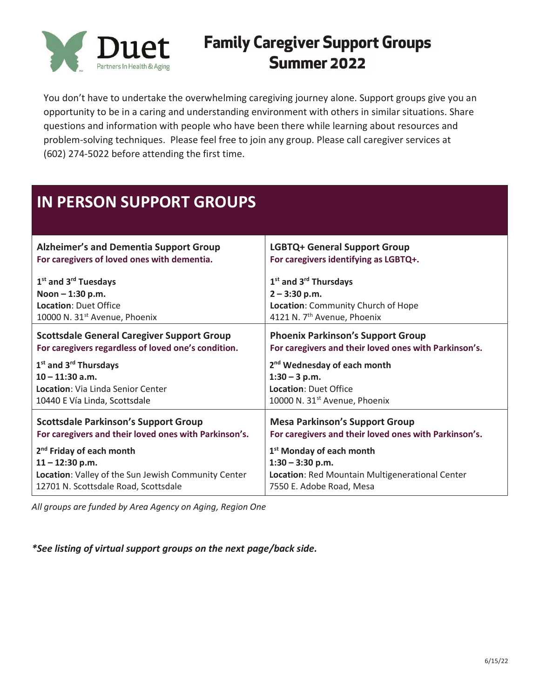

## **Family Caregiver Support Groups** Summer 2022

You don't have to undertake the overwhelming caregiving journey alone. Support groups give you an opportunity to be in a caring and understanding environment with others in similar situations. Share questions and information with people who have been there while learning about resources and problem-solving techniques. Please feel free to join any group. Please call caregiver services at (602) 274-5022 before attending the first time.

## **IN PERSON SUPPORT GROUPS**

| <b>Alzheimer's and Dementia Support Group</b>         | <b>LGBTQ+ General Support Group</b>                   |
|-------------------------------------------------------|-------------------------------------------------------|
| For caregivers of loved ones with dementia.           | For caregivers identifying as LGBTQ+.                 |
| $1st$ and $3rd$ Tuesdays                              | $1st$ and $3rd$ Thursdays                             |
| Noon $- 1:30$ p.m.                                    | $2 - 3:30$ p.m.                                       |
| <b>Location: Duet Office</b>                          | Location: Community Church of Hope                    |
| 10000 N. 31 <sup>st</sup> Avenue, Phoenix             | 4121 N. 7 <sup>th</sup> Avenue, Phoenix               |
| <b>Scottsdale General Caregiver Support Group</b>     | <b>Phoenix Parkinson's Support Group</b>              |
| For caregivers regardless of loved one's condition.   | For caregivers and their loved ones with Parkinson's. |
| 1 <sup>st</sup> and 3 <sup>rd</sup> Thursdays         | 2 <sup>nd</sup> Wednesday of each month               |
| $10 - 11:30$ a.m.                                     | $1:30 - 3$ p.m.                                       |
| Location: Via Linda Senior Center                     | <b>Location: Duet Office</b>                          |
| 10440 E Vía Linda, Scottsdale                         | 10000 N. 31 <sup>st</sup> Avenue, Phoenix             |
| <b>Scottsdale Parkinson's Support Group</b>           | <b>Mesa Parkinson's Support Group</b>                 |
| For caregivers and their loved ones with Parkinson's. | For caregivers and their loved ones with Parkinson's. |
|                                                       |                                                       |
| 2 <sup>nd</sup> Friday of each month                  | 1 <sup>st</sup> Monday of each month                  |
| $11 - 12:30$ p.m.                                     | $1:30 - 3:30$ p.m.                                    |
| Location: Valley of the Sun Jewish Community Center   | Location: Red Mountain Multigenerational Center       |
| 12701 N. Scottsdale Road, Scottsdale                  | 7550 E. Adobe Road, Mesa                              |

*All groups are funded by Area Agency on Aging, Region One*

*\*See listing of virtual support groups on the next page/back side.*